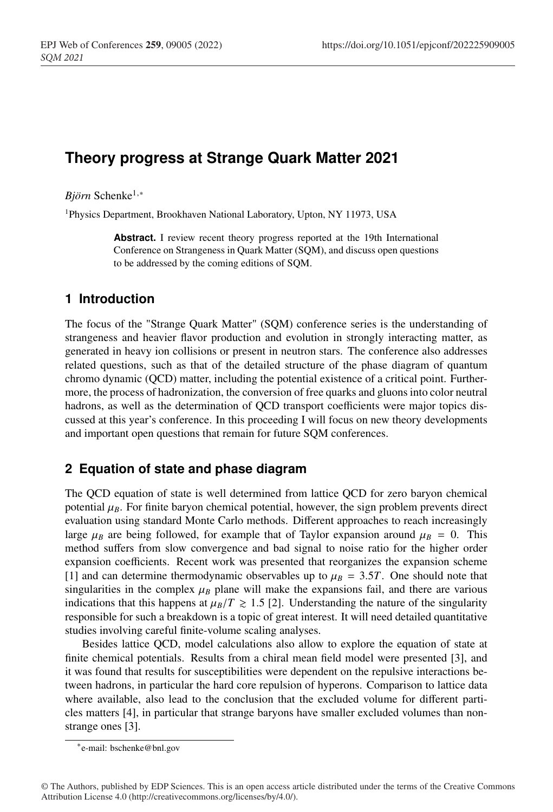# **Theory progress at Strange Quark Matter 2021**

*Björn* Schenke1,<sup>∗</sup>

1Physics Department, Brookhaven National Laboratory, Upton, NY 11973, USA

Abstract. I review recent theory progress reported at the 19th International Conference on Strangeness in Quark Matter (SQM), and discuss open questions to be addressed by the coming editions of SQM.

## **1 Introduction**

The focus of the "Strange Quark Matter" (SQM) conference series is the understanding of strangeness and heavier flavor production and evolution in strongly interacting matter, as generated in heavy ion collisions or present in neutron stars. The conference also addresses related questions, such as that of the detailed structure of the phase diagram of quantum chromo dynamic (QCD) matter, including the potential existence of a critical point. Furthermore, the process of hadronization, the conversion of free quarks and gluons into color neutral hadrons, as well as the determination of QCD transport coefficients were major topics discussed at this year's conference. In this proceeding I will focus on new theory developments and important open questions that remain for future SQM conferences.

## **2 Equation of state and phase diagram**

The QCD equation of state is well determined from lattice QCD for zero baryon chemical potential  $\mu_B$ . For finite baryon chemical potential, however, the sign problem prevents direct evaluation using standard Monte Carlo methods. Different approaches to reach increasingly large  $\mu_B$  are being followed, for example that of Taylor expansion around  $\mu_B = 0$ . This method suffers from slow convergence and bad signal to noise ratio for the higher order expansion coefficients. Recent work was presented that reorganizes the expansion scheme [1] and can determine thermodynamic observables up to  $\mu$ <sub>*B*</sub> = 3.5*T*. One should note that singularities in the complex  $\mu_B$  plane will make the expansions fail, and there are various indications that this happens at  $\mu_B/T \geq 1.5$  [2]. Understanding the nature of the singularity responsible for such a breakdown is a topic of great interest. It will need detailed quantitative studies involving careful finite-volume scaling analyses.

Besides lattice QCD, model calculations also allow to explore the equation of state at finite chemical potentials. Results from a chiral mean field model were presented [3], and it was found that results for susceptibilities were dependent on the repulsive interactions between hadrons, in particular the hard core repulsion of hyperons. Comparison to lattice data where available, also lead to the conclusion that the excluded volume for different particles matters [4], in particular that strange baryons have smaller excluded volumes than nonstrange ones [3].

<sup>∗</sup>e-mail: bschenke@bnl.gov

<sup>©</sup> The Authors, published by EDP Sciences. This is an open access article distributed under the terms of the Creative Commons Attribution License 4.0 (http://creativecommons.org/licenses/by/4.0/).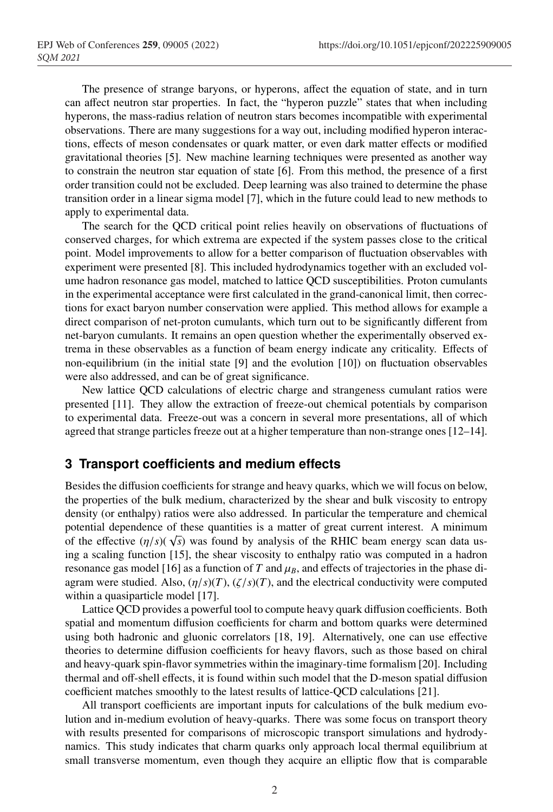The presence of strange baryons, or hyperons, affect the equation of state, and in turn can affect neutron star properties. In fact, the "hyperon puzzle" states that when including hyperons, the mass-radius relation of neutron stars becomes incompatible with experimental observations. There are many suggestions for a way out, including modified hyperon interactions, effects of meson condensates or quark matter, or even dark matter effects or modified gravitational theories [5]. New machine learning techniques were presented as another way to constrain the neutron star equation of state [6]. From this method, the presence of a first order transition could not be excluded. Deep learning was also trained to determine the phase transition order in a linear sigma model [7], which in the future could lead to new methods to apply to experimental data.

The search for the QCD critical point relies heavily on observations of fluctuations of conserved charges, for which extrema are expected if the system passes close to the critical point. Model improvements to allow for a better comparison of fluctuation observables with experiment were presented [8]. This included hydrodynamics together with an excluded volume hadron resonance gas model, matched to lattice QCD susceptibilities. Proton cumulants in the experimental acceptance were first calculated in the grand-canonical limit, then corrections for exact baryon number conservation were applied. This method allows for example a direct comparison of net-proton cumulants, which turn out to be significantly different from net-baryon cumulants. It remains an open question whether the experimentally observed extrema in these observables as a function of beam energy indicate any criticality. Effects of non-equilibrium (in the initial state [9] and the evolution [10]) on fluctuation observables were also addressed, and can be of great significance.

New lattice QCD calculations of electric charge and strangeness cumulant ratios were presented [11]. They allow the extraction of freeze-out chemical potentials by comparison to experimental data. Freeze-out was a concern in several more presentations, all of which agreed that strange particles freeze out at a higher temperature than non-strange ones [12–14].

#### **3 Transport coefficients and medium effects**

Besides the diffusion coefficients for strange and heavy quarks, which we will focus on below, the properties of the bulk medium, characterized by the shear and bulk viscosity to entropy density (or enthalpy) ratios were also addressed. In particular the temperature and chemical potential dependence of these quantities is a matter of great current interest. A minimum of the effective  $(\eta/s)(\sqrt{s})$  was found by analysis of the RHIC beam energy scan data using a scaling function [15], the shear viscosity to enthalpy ratio was computed in a hadron resonance gas model [16] as a function of *T* and  $\mu_B$ , and effects of trajectories in the phase diagram were studied. Also,  $(\eta/s)(T)$ ,  $(\zeta/s)(T)$ , and the electrical conductivity were computed within a quasiparticle model [17].

Lattice QCD provides a powerful tool to compute heavy quark diffusion coefficients. Both spatial and momentum diffusion coefficients for charm and bottom quarks were determined using both hadronic and gluonic correlators [18, 19]. Alternatively, one can use effective theories to determine diffusion coefficients for heavy flavors, such as those based on chiral and heavy-quark spin-flavor symmetries within the imaginary-time formalism [20]. Including thermal and off-shell effects, it is found within such model that the D-meson spatial diffusion coefficient matches smoothly to the latest results of lattice-QCD calculations [21].

All transport coefficients are important inputs for calculations of the bulk medium evolution and in-medium evolution of heavy-quarks. There was some focus on transport theory with results presented for comparisons of microscopic transport simulations and hydrodynamics. This study indicates that charm quarks only approach local thermal equilibrium at small transverse momentum, even though they acquire an elliptic flow that is comparable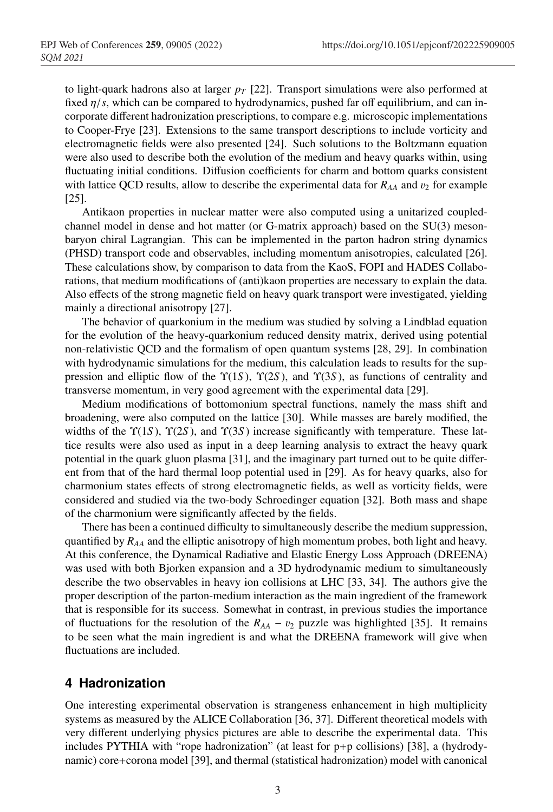to light-quark hadrons also at larger  $p_T$  [22]. Transport simulations were also performed at fixed  $\eta/s$ , which can be compared to hydrodynamics, pushed far off equilibrium, and can incorporate different hadronization prescriptions, to compare e.g. microscopic implementations to Cooper-Frye [23]. Extensions to the same transport descriptions to include vorticity and electromagnetic fields were also presented [24]. Such solutions to the Boltzmann equation were also used to describe both the evolution of the medium and heavy quarks within, using fluctuating initial conditions. Diffusion coefficients for charm and bottom quarks consistent with lattice QCD results, allow to describe the experimental data for  $R_{AA}$  and  $v_2$  for example [25].

Antikaon properties in nuclear matter were also computed using a unitarized coupledchannel model in dense and hot matter (or G-matrix approach) based on the SU(3) mesonbaryon chiral Lagrangian. This can be implemented in the parton hadron string dynamics (PHSD) transport code and observables, including momentum anisotropies, calculated [26]. These calculations show, by comparison to data from the KaoS, FOPI and HADES Collaborations, that medium modifications of (anti)kaon properties are necessary to explain the data. Also effects of the strong magnetic field on heavy quark transport were investigated, yielding mainly a directional anisotropy [27].

The behavior of quarkonium in the medium was studied by solving a Lindblad equation for the evolution of the heavy-quarkonium reduced density matrix, derived using potential non-relativistic QCD and the formalism of open quantum systems [28, 29]. In combination with hydrodynamic simulations for the medium, this calculation leads to results for the suppression and elliptic flow of the  $\Upsilon(1S)$ ,  $\Upsilon(2S)$ , and  $\Upsilon(3S)$ , as functions of centrality and transverse momentum, in very good agreement with the experimental data [29].

Medium modifications of bottomonium spectral functions, namely the mass shift and broadening, were also computed on the lattice [30]. While masses are barely modified, the widths of the Υ(1*S* ), Υ(2*S* ), and Υ(3*S* ) increase significantly with temperature. These lattice results were also used as input in a deep learning analysis to extract the heavy quark potential in the quark gluon plasma [31], and the imaginary part turned out to be quite different from that of the hard thermal loop potential used in [29]. As for heavy quarks, also for charmonium states effects of strong electromagnetic fields, as well as vorticity fields, were considered and studied via the two-body Schroedinger equation [32]. Both mass and shape of the charmonium were significantly affected by the fields.

There has been a continued difficulty to simultaneously describe the medium suppression, quantified by *RAA* and the elliptic anisotropy of high momentum probes, both light and heavy. At this conference, the Dynamical Radiative and Elastic Energy Loss Approach (DREENA) was used with both Bjorken expansion and a 3D hydrodynamic medium to simultaneously describe the two observables in heavy ion collisions at LHC [33, 34]. The authors give the proper description of the parton-medium interaction as the main ingredient of the framework that is responsible for its success. Somewhat in contrast, in previous studies the importance of fluctuations for the resolution of the  $R_{AA}$  –  $v_2$  puzzle was highlighted [35]. It remains to be seen what the main ingredient is and what the DREENA framework will give when fluctuations are included.

#### **4 Hadronization**

One interesting experimental observation is strangeness enhancement in high multiplicity systems as measured by the ALICE Collaboration [36, 37]. Different theoretical models with very different underlying physics pictures are able to describe the experimental data. This includes PYTHIA with "rope hadronization" (at least for  $p+p$  collisions) [38], a (hydrodynamic) core+corona model [39], and thermal (statistical hadronization) model with canonical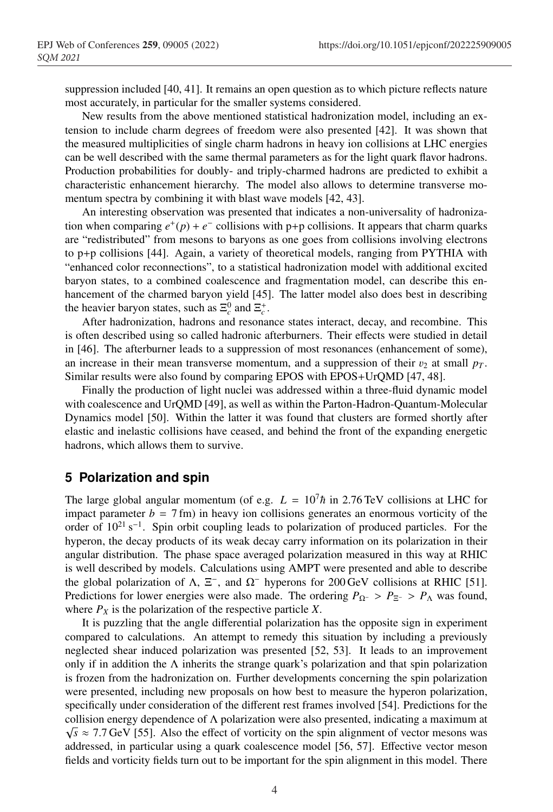suppression included [40, 41]. It remains an open question as to which picture reflects nature most accurately, in particular for the smaller systems considered.

New results from the above mentioned statistical hadronization model, including an extension to include charm degrees of freedom were also presented [42]. It was shown that the measured multiplicities of single charm hadrons in heavy ion collisions at LHC energies can be well described with the same thermal parameters as for the light quark flavor hadrons. Production probabilities for doubly- and triply-charmed hadrons are predicted to exhibit a characteristic enhancement hierarchy. The model also allows to determine transverse momentum spectra by combining it with blast wave models [42, 43].

An interesting observation was presented that indicates a non-universality of hadronization when comparing  $e^+(p) + e^-$  collisions with p+p collisions. It appears that charm quarks are "redistributed" from mesons to baryons as one goes from collisions involving electrons to p+p collisions [44]. Again, a variety of theoretical models, ranging from PYTHIA with "enhanced color reconnections", to a statistical hadronization model with additional excited baryon states, to a combined coalescence and fragmentation model, can describe this enhancement of the charmed baryon yield [45]. The latter model also does best in describing the heavier baryon states, such as  $\Xi_c^0$  and  $\Xi_c^+$ .

After hadronization, hadrons and resonance states interact, decay, and recombine. This is often described using so called hadronic afterburners. Their effects were studied in detail in [46]. The afterburner leads to a suppression of most resonances (enhancement of some), an increase in their mean transverse momentum, and a suppression of their  $v_2$  at small  $p_T$ . Similar results were also found by comparing EPOS with EPOS+UrQMD [47, 48].

Finally the production of light nuclei was addressed within a three-fluid dynamic model with coalescence and UrQMD [49], as well as within the Parton-Hadron-Quantum-Molecular Dynamics model [50]. Within the latter it was found that clusters are formed shortly after elastic and inelastic collisions have ceased, and behind the front of the expanding energetic hadrons, which allows them to survive.

#### **5 Polarization and spin**

The large global angular momentum (of e.g.  $L = 10^7 \hbar$  in 2.76 TeV collisions at LHC for impact parameter  $b = 7$  fm) in heavy ion collisions generates an enormous vorticity of the order of 1021 s−1. Spin orbit coupling leads to polarization of produced particles. For the hyperon, the decay products of its weak decay carry information on its polarization in their angular distribution. The phase space averaged polarization measured in this way at RHIC is well described by models. Calculations using AMPT were presented and able to describe the global polarization of Λ,  $\Xi^-$ , and  $\Omega^-$  hyperons for 200 GeV collisions at RHIC [51]. Predictions for lower energies were also made. The ordering  $P_{\Omega}$ − >  $P_{\Xi}$  >  $P_{\Lambda}$  was found, where  $P_X$  is the polarization of the respective particle *X*.

It is puzzling that the angle differential polarization has the opposite sign in experiment compared to calculations. An attempt to remedy this situation by including a previously neglected shear induced polarization was presented [52, 53]. It leads to an improvement only if in addition the  $\Lambda$  inherits the strange quark's polarization and that spin polarization is frozen from the hadronization on. Further developments concerning the spin polarization were presented, including new proposals on how best to measure the hyperon polarization, specifically under consideration of the different rest frames involved [54]. Predictions for the collision energy dependence of Λ polarization were also presented, indicating a maximum at  $\sqrt{s}$  ≈ 7.7 GeV [55]. Also the effect of vorticity on the spin alignment of vector mesons was addressed, in particular using a quark coalescence model [56, 57]. Effective vector meson fields and vorticity fields turn out to be important for the spin alignment in this model. There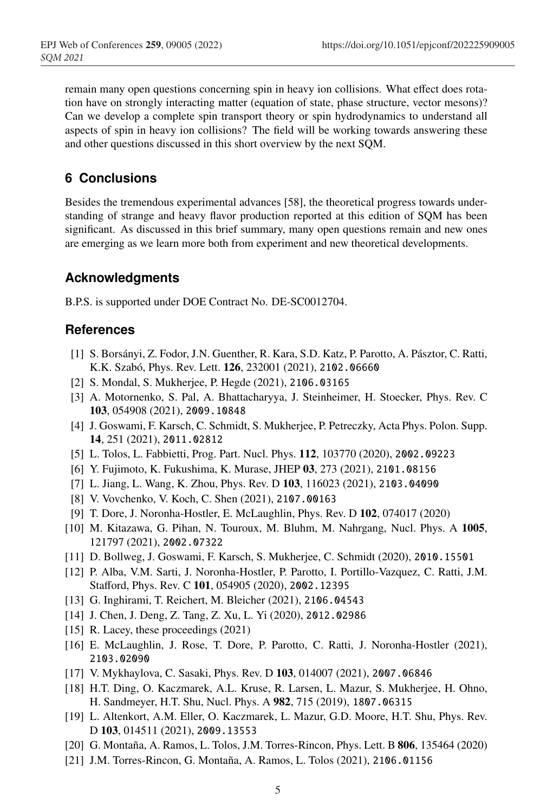remain many open questions concerning spin in heavy ion collisions. What effect does rotation have on strongly interacting matter (equation of state, phase structure, vector mesons)? Can we develop a complete spin transport theory or spin hydrodynamics to understand all aspects of spin in heavy ion collisions? The field will be working towards answering these and other questions discussed in this short overview by the next SQM.

# **6 Conclusions**

Besides the tremendous experimental advances [58], the theoretical progress towards understanding of strange and heavy flavor production reported at this edition of SQM has been significant. As discussed in this brief summary, many open questions remain and new ones are emerging as we learn more both from experiment and new theoretical developments.

# **Acknowledgments**

B.P.S. is supported under DOE Contract No. DE-SC0012704.

## **References**

- [1] S. Borsányi, Z. Fodor, J.N. Guenther, R. Kara, S.D. Katz, P. Parotto, A. Pásztor, C. Ratti, K.K. Szabó, Phys. Rev. Lett. 126, 232001 (2021), 2102.06660
- [2] S. Mondal, S. Mukherjee, P. Hegde (2021), 2106.03165
- [3] A. Motornenko, S. Pal, A. Bhattacharyya, J. Steinheimer, H. Stoecker, Phys. Rev. C 103, 054908 (2021), 2009.10848
- [4] J. Goswami, F. Karsch, C. Schmidt, S. Mukherjee, P. Petreczky, Acta Phys. Polon. Supp. 14, 251 (2021), 2011.02812
- [5] L. Tolos, L. Fabbietti, Prog. Part. Nucl. Phys. 112, 103770 (2020), 2002.09223
- [6] Y. Fujimoto, K. Fukushima, K. Murase, JHEP 03, 273 (2021), 2101.08156
- [7] L. Jiang, L. Wang, K. Zhou, Phys. Rev. D 103, 116023 (2021), 2103.04090
- [8] V. Vovchenko, V. Koch, C. Shen (2021), 2107.00163
- [9] T. Dore, J. Noronha-Hostler, E. McLaughlin, Phys. Rev. D 102, 074017 (2020)
- [10] M. Kitazawa, G. Pihan, N. Touroux, M. Bluhm, M. Nahrgang, Nucl. Phys. A 1005, 121797 (2021), 2002.07322
- [11] D. Bollweg, J. Goswami, F. Karsch, S. Mukherjee, C. Schmidt (2020), 2010.15501
- [12] P. Alba, V.M. Sarti, J. Noronha-Hostler, P. Parotto, I. Portillo-Vazquez, C. Ratti, J.M. Stafford, Phys. Rev. C 101, 054905 (2020), 2002.12395
- [13] G. Inghirami, T. Reichert, M. Bleicher (2021), 2106.04543
- [14] J. Chen, J. Deng, Z. Tang, Z. Xu, L. Yi (2020), 2012.02986
- [15] R. Lacey, these proceedings (2021)
- [16] E. McLaughlin, J. Rose, T. Dore, P. Parotto, C. Ratti, J. Noronha-Hostler (2021), 2103.02090
- [17] V. Mykhaylova, C. Sasaki, Phys. Rev. D 103, 014007 (2021), 2007.06846
- [18] H.T. Ding, O. Kaczmarek, A.L. Kruse, R. Larsen, L. Mazur, S. Mukherjee, H. Ohno, H. Sandmeyer, H.T. Shu, Nucl. Phys. A 982, 715 (2019), 1807.06315
- [19] L. Altenkort, A.M. Eller, O. Kaczmarek, L. Mazur, G.D. Moore, H.T. Shu, Phys. Rev. D 103, 014511 (2021), 2009.13553
- [20] G. Montaña, A. Ramos, L. Tolos, J.M. Torres-Rincon, Phys. Lett. B 806, 135464 (2020)
- [21] J.M. Torres-Rincon, G. Montaña, A. Ramos, L. Tolos (2021), 2106.01156